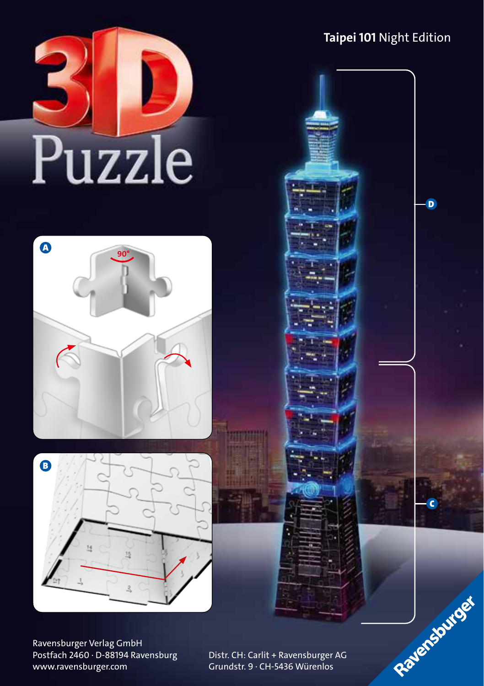# Puzzle





Ravensburger Verlag GmbH Postfach 2460 ∙ D-88194 Ravensburg www.ravensburger.com

Distr. CH: Carlit + Ravensburger AG Grundstr. 9 ∙ CH-5436 Würenlos

## **Taipei 101** Night Edition

C

Rayensourger

D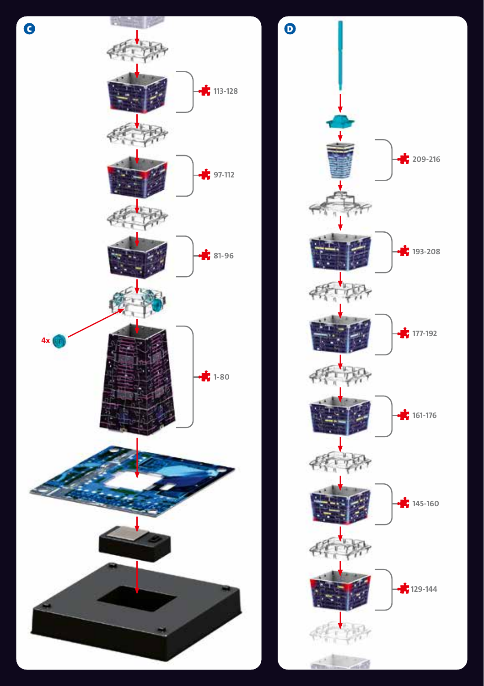

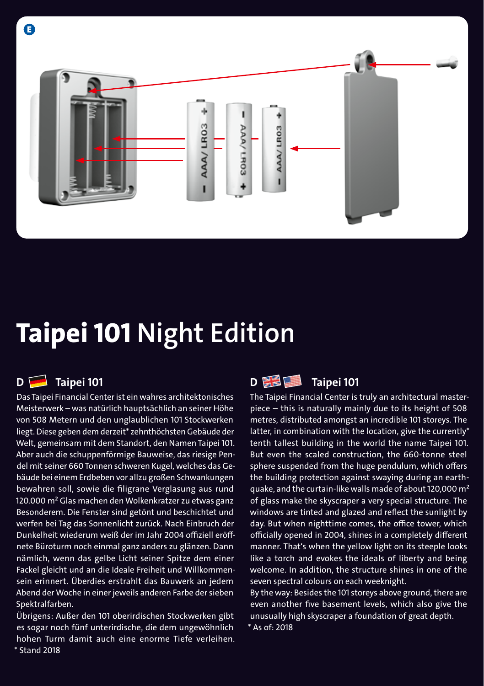

# **Taipei 101 Night Edition**

### **D Taipei 101**

E

Das Taipei Financial Center ist ein wahres architektonisches Meisterwerk – was natürlich hauptsächlich an seiner Höhe von 508 Metern und den unglaublichen 101 Stockwerken liegt. Diese geben dem derzeit\* zehnthöchsten Gebäude der Welt, gemeinsam mit dem Standort, den Namen Taipei 101. Aber auch die schuppenförmige Bauweise, das riesige Pendel mit seiner 660 Tonnen schweren Kugel, welches das Gebäude bei einem Erdbeben vor allzu großen Schwankungen bewahren soll, sowie die filigrane Verglasung aus rund 120.000 m² Glas machen den Wolkenkratzer zu etwas ganz Besonderem. Die Fenster sind getönt und beschichtet und werfen bei Tag das Sonnenlicht zurück. Nach Einbruch der Dunkelheit wiederum weiß der im Jahr 2004 offiziell eröffnete Büroturm noch einmal ganz anders zu glänzen. Dann nämlich, wenn das gelbe Licht seiner Spitze dem einer Fackel gleicht und an die Ideale Freiheit und Willkommensein erinnert. Überdies erstrahlt das Bauwerk an jedem Abend der Woche in einer jeweils anderen Farbe der sieben Spektralfarben.

Übrigens: Außer den 101 oberirdischen Stockwerken gibt es sogar noch fünf unterirdische, die dem ungewöhnlich hohen Turm damit auch eine enorme Tiefe verleihen. \* Stand 2018



The Taipei Financial Center is truly an architectural masterpiece – this is naturally mainly due to its height of 508 metres, distributed amongst an incredible 101 storeys. The latter, in combination with the location, give the currently\* tenth tallest building in the world the name Taipei 101. But even the scaled construction, the 660-tonne steel sphere suspended from the huge pendulum, which offers the building protection against swaying during an earthquake, and the curtain-like walls made of about 120,000 m² of glass make the skyscraper a very special structure. The windows are tinted and glazed and reflect the sunlight by day. But when nighttime comes, the office tower, which officially opened in 2004, shines in a completely different manner. That's when the yellow light on its steeple looks like a torch and evokes the ideals of liberty and being welcome. In addition, the structure shines in one of the seven spectral colours on each weeknight.

By the way: Besides the 101 storeys above ground, there are even another five basement levels, which also give the unusually high skyscraper a foundation of great depth. \* As of: 2018